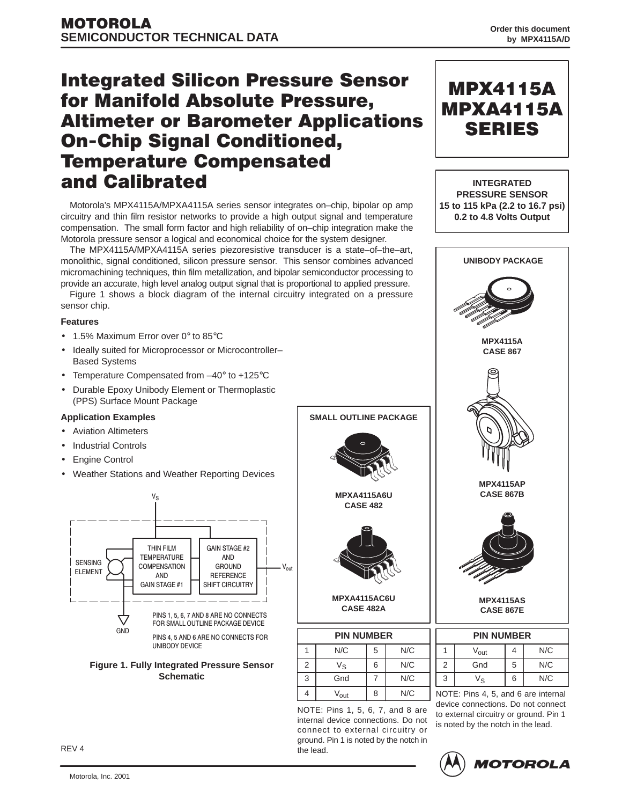# **Integrated Silicon Pressure Sensor** for Manifold Absolute Pressure, **Altimeter or Barometer Applications On-Chip Signal Conditioned, Temperature Compensated** and Calibrated

Motorola's MPX4115A/MPXA4115A series sensor integrates on–chip, bipolar op amp circuitry and thin film resistor networks to provide a high output signal and temperature compensation. The small form factor and high reliability of on–chip integration make the Motorola pressure sensor a logical and economical choice for the system designer.

The MPX4115A/MPXA4115A series piezoresistive transducer is a state–of–the–art, monolithic, signal conditioned, silicon pressure sensor. This sensor combines advanced micromachining techniques, thin film metallization, and bipolar semiconductor processing to provide an accurate, high level analog output signal that is proportional to applied pressure.

Figure 1 shows a block diagram of the internal circuitry integrated on a pressure sensor chip.

#### **Features**

- 1.5% Maximum Error over 0° to 85°C
- Ideally suited for Microprocessor or Microcontroller– Based Systems
- Temperature Compensated from  $-40^{\circ}$  to +125°C
- Durable Epoxy Unibody Element or Thermoplastic (PPS) Surface Mount Package

# **Application Examples**

- Aviation Altimeters
- Industrial Controls
- **Engine Control**
- Weather Stations and Weather Reporting Devices







**SMALL OUTLINE PACKAGE**

**MPXA4115AC6U CASE 482A**

| <b>PIN NUMBER</b> |                  |   |     |  |  |  |
|-------------------|------------------|---|-----|--|--|--|
|                   | N/C              | 5 | N/C |  |  |  |
| $\overline{2}$    | $V_{\rm S}$      | 6 | N/C |  |  |  |
| 3                 | Gnd              |   | N/C |  |  |  |
| 4                 | $V_{\text{out}}$ | 8 | N/C |  |  |  |

NOTE: Pins 1, 5, 6, 7, and 8 are internal device connections. Do not connect to external circuitry or ground. Pin 1 is noted by the notch in the lead.



| <b>PIN NUMBER</b> |               |   |     |  |  |
|-------------------|---------------|---|-----|--|--|
|                   | $\rm V_{out}$ |   | N/C |  |  |
| $\overline{2}$    | Gnd           | 5 | N/C |  |  |
| 3                 | Ve            | 6 | N/C |  |  |

NOTE: Pins 4, 5, and 6 are internal device connections. Do not connect to external circuitry or ground. Pin 1 is noted by the notch in the lead.

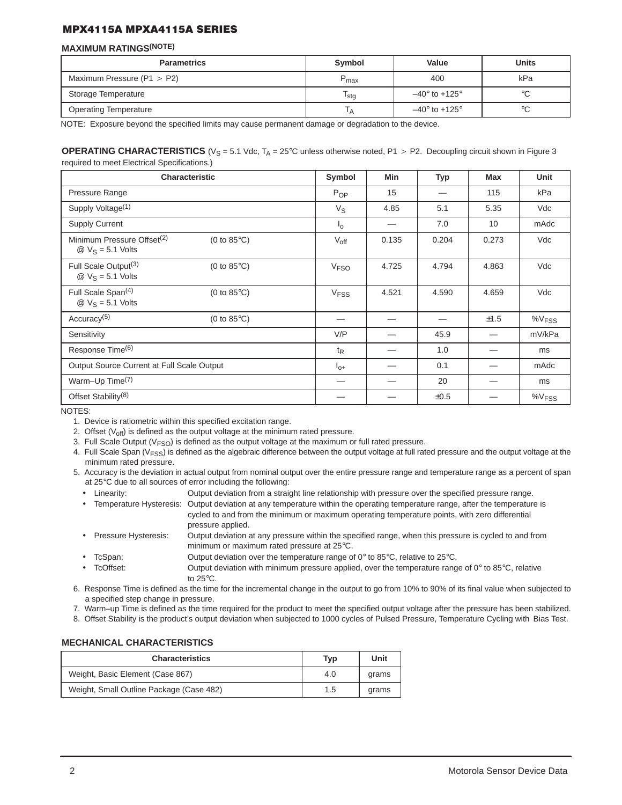#### **MAXIMUM RATINGS(NOTE)**

| <b>Parametrics</b>             | Symbol           | Value                        | <b>Units</b> |
|--------------------------------|------------------|------------------------------|--------------|
| Maximum Pressure ( $P1 > P2$ ) | $P_{\text{max}}$ | 400                          | kPa          |
| Storage Temperature            | <sup>I</sup> stg | $-40^\circ$ to +125 $^\circ$ | °C           |
| <b>Operating Temperature</b>   | ١A               | $-40^\circ$ to $+125^\circ$  | $^{\circ}C$  |

NOTE: Exposure beyond the specified limits may cause permanent damage or degradation to the device.

#### **OPERATING CHARACTERISTICS** ( $V_S = 5.1$  Vdc,  $T_A = 25^\circ$ C unless otherwise noted, P1 > P2. Decoupling circuit shown in Figure 3 required to meet Electrical Specifications.)

|                                                                                        | <b>Characteristic</b> | Symbol                 | <b>Min</b> | Typ   | Max   | <b>Unit</b>          |
|----------------------------------------------------------------------------------------|-----------------------|------------------------|------------|-------|-------|----------------------|
| Pressure Range                                                                         |                       | $P_{OP}$               | 15         |       | 115   | kPa                  |
| Supply Voltage <sup>(1)</sup>                                                          |                       | $V_{\rm S}$            | 4.85       | 5.1   | 5.35  | Vdc                  |
| <b>Supply Current</b>                                                                  |                       | $I_{\Omega}$           |            | 7.0   | 10    | mAdc                 |
| Minimum Pressure Offset <sup>(2)</sup><br>$\textcircled{2}$ V <sub>S</sub> = 5.1 Volts | (0 to $85^{\circ}$ C) | $V_{\text{off}}$       | 0.135      | 0.204 | 0.273 | Vdc                  |
| Full Scale Output <sup>(3)</sup><br>$\textcircled{2}$ V <sub>S</sub> = 5.1 Volts       | (0 to $85^{\circ}$ C) | <b>V<sub>FSO</sub></b> | 4.725      | 4.794 | 4.863 | Vdc                  |
| Full Scale Span <sup>(4)</sup><br>$\textcircled{2}$ V <sub>S</sub> = 5.1 Volts         | (0 to $85^{\circ}$ C) | <b>V<sub>FSS</sub></b> | 4.521      | 4.590 | 4.659 | Vdc                  |
| Accuracy <sup>(5)</sup>                                                                | (0 to $85^{\circ}$ C) |                        |            |       | ±1.5  | $\%V$ <sub>FSS</sub> |
| Sensitivity                                                                            |                       | V/P                    |            | 45.9  |       | mV/kPa               |
| Response Time <sup>(6)</sup>                                                           |                       | $t_{\mathsf{R}}$       |            | 1.0   |       | ms                   |
| Output Source Current at Full Scale Output                                             |                       | $I_{0+}$               |            | 0.1   |       | mAdc                 |
| Warm-Up Time <sup>(7)</sup>                                                            |                       |                        |            | 20    |       | ms                   |
| Offset Stability <sup>(8)</sup>                                                        |                       |                        |            | ±0.5  |       | %V <sub>FSS</sub>    |

NOTES:

1. Device is ratiometric within this specified excitation range.

2. Offset  $(V_{off})$  is defined as the output voltage at the minimum rated pressure.

3. Full Scale Output ( $V<sub>FSO</sub>$ ) is defined as the output voltage at the maximum or full rated pressure.

- 4. Full Scale Span ( $V_{FSS}$ ) is defined as the algebraic difference between the output voltage at full rated pressure and the output voltage at the minimum rated pressure.
- 5. Accuracy is the deviation in actual output from nominal output over the entire pressure range and temperature range as a percent of span at 25°C due to all sources of error including the following:
	- Linearity: Output deviation from a straight line relationship with pressure over the specified pressure range.
	- Temperature Hysteresis: Output deviation at any temperature within the operating temperature range, after the temperature is cycled to and from the minimum or maximum operating temperature points, with zero differential pressure applied.
	- Pressure Hysteresis: Output deviation at any pressure within the specified range, when this pressure is cycled to and from minimum or maximum rated pressure at 25°C.
	- TcSpan: Output deviation over the temperature range of 0° to 85°C, relative to 25°C.
	- TcOffset: Output deviation with minimum pressure applied, over the temperature range of  $0^\circ$  to 85 $^\circ$ C, relative to 25°C.
- 6. Response Time is defined as the time for the incremental change in the output to go from 10% to 90% of its final value when subjected to a specified step change in pressure.
- 7. Warm–up Time is defined as the time required for the product to meet the specified output voltage after the pressure has been stabilized.
- 8. Offset Stability is the product's output deviation when subjected to 1000 cycles of Pulsed Pressure, Temperature Cycling with Bias Test.

#### **MECHANICAL CHARACTERISTICS**

| <b>Characteristics</b>                   | Typ | Unit  |
|------------------------------------------|-----|-------|
| Weight, Basic Element (Case 867)         | 4.0 | grams |
| Weight, Small Outline Package (Case 482) | 1.5 | grams |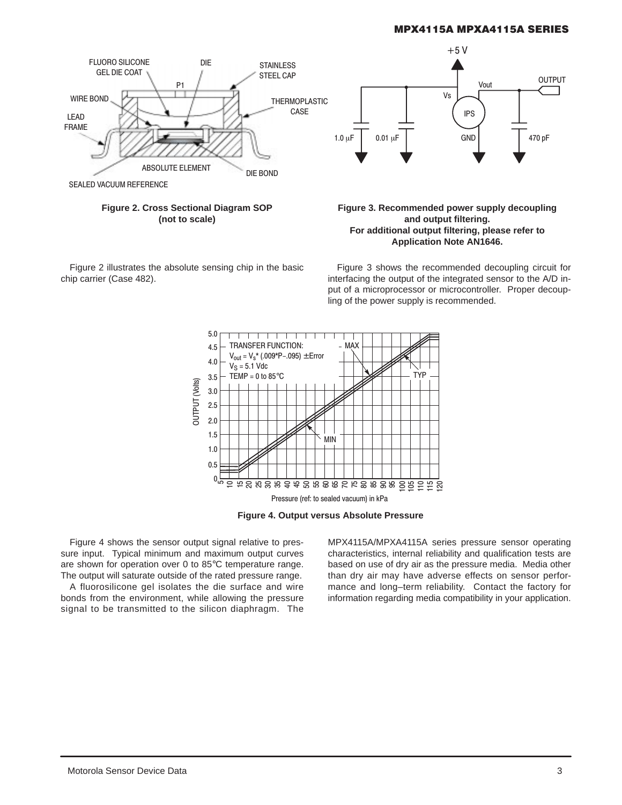

**Figure 2. Cross Sectional Diagram SOP (not to scale)**

Figure 2 illustrates the absolute sensing chip in the basic chip carrier (Case 482).

#### **Figure 3. Recommended power supply decoupling and output filtering. For additional output filtering, please refer to Application Note AN1646.**

Figure 3 shows the recommended decoupling circuit for interfacing the output of the integrated sensor to the A/D input of a microprocessor or microcontroller. Proper decoupling of the power supply is recommended.



**Figure 4. Output versus Absolute Pressure**

Figure 4 shows the sensor output signal relative to pressure input. Typical minimum and maximum output curves are shown for operation over 0 to 85°C temperature range. The output will saturate outside of the rated pressure range.

A fluorosilicone gel isolates the die surface and wire bonds from the environment, while allowing the pressure signal to be transmitted to the silicon diaphragm. The MPX4115A/MPXA4115A series pressure sensor operating characteristics, internal reliability and qualification tests are based on use of dry air as the pressure media. Media other than dry air may have adverse effects on sensor performance and long–term reliability. Contact the factory for information regarding media compatibility in your application.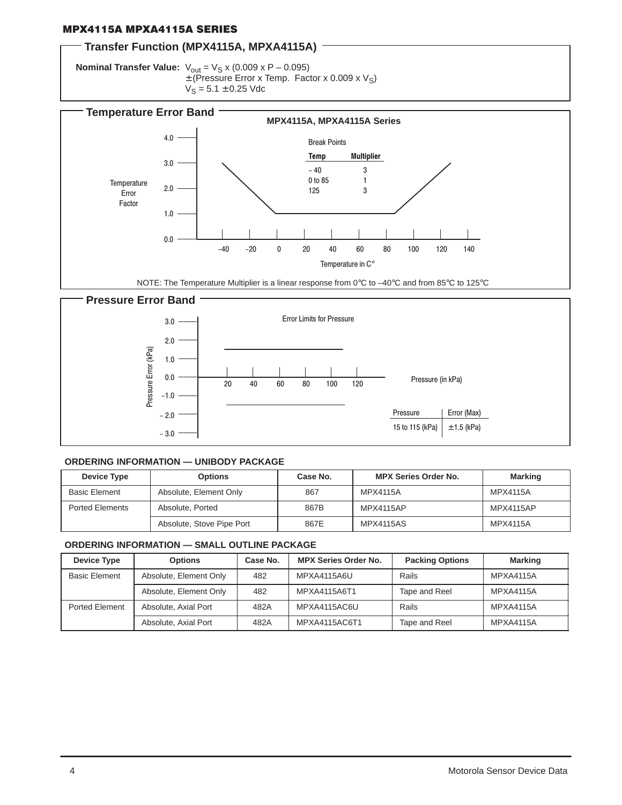# **Transfer Function (MPX4115A, MPXA4115A)**

**Nominal Transfer Value:**  $V_{\text{out}} = V_S x (0.009 x P - 0.095)$  $\pm$  (Pressure Error x Temp. Factor x 0.009 x V<sub>S</sub>)  $V_S = 5.1 \pm 0.25$  Vdc





#### **ORDERING INFORMATION — UNIBODY PACKAGE**

| Device Type            | <b>Options</b>            | Case No. | <b>MPX Series Order No.</b> | <b>Marking</b>  |
|------------------------|---------------------------|----------|-----------------------------|-----------------|
| <b>Basic Element</b>   | Absolute, Element Only    | 867      | MPX4115A                    | MPX4115A        |
| <b>Ported Elements</b> | Absolute, Ported          | 867B     | MPX4115AP                   | MPX4115AP       |
|                        | Absolute, Stove Pipe Port | 867E     | <b>MPX4115AS</b>            | <b>MPX4115A</b> |

#### **ORDERING INFORMATION — SMALL OUTLINE PACKAGE**

| Device Type          | <b>Options</b>         | Case No. | <b>MPX Series Order No.</b> | <b>Packing Options</b> | <b>Marking</b>   |
|----------------------|------------------------|----------|-----------------------------|------------------------|------------------|
| <b>Basic Element</b> | Absolute, Element Only | 482      | MPXA4115A6U                 | Rails                  | <b>MPXA4115A</b> |
|                      | Absolute, Element Only | 482      | MPXA4115A6T1                | Tape and Reel          | <b>MPXA4115A</b> |
| Ported Element       | Absolute, Axial Port   | 482A     | MPXA4115AC6U                | Rails                  | <b>MPXA4115A</b> |
|                      | Absolute, Axial Port   | 482A     | MPXA4115AC6T1               | Tape and Reel          | <b>MPXA4115A</b> |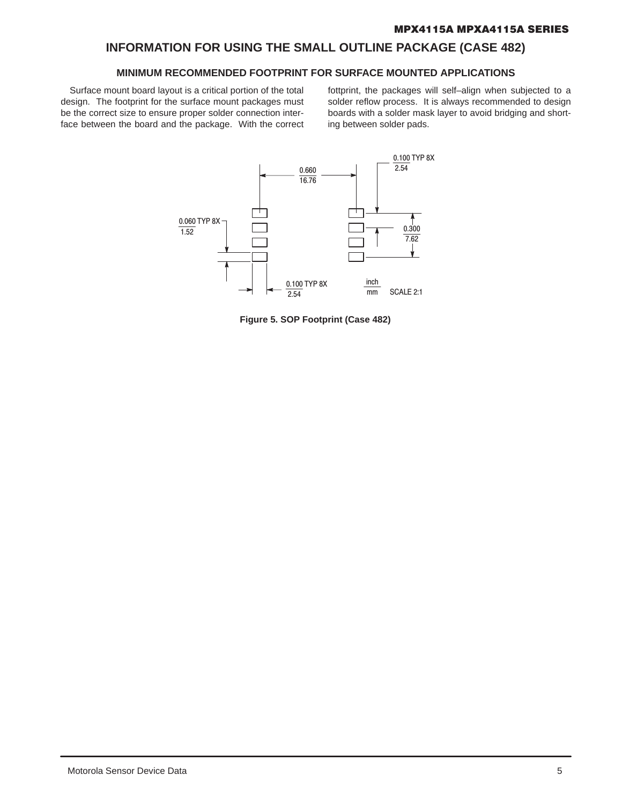# **INFORMATION FOR USING THE SMALL OUTLINE PACKAGE (CASE 482)**

# **MINIMUM RECOMMENDED FOOTPRINT FOR SURFACE MOUNTED APPLICATIONS**

Surface mount board layout is a critical portion of the total design. The footprint for the surface mount packages must be the correct size to ensure proper solder connection interface between the board and the package. With the correct fottprint, the packages will self–align when subjected to a solder reflow process. It is always recommended to design boards with a solder mask layer to avoid bridging and shorting between solder pads.



**Figure 5. SOP Footprint (Case 482)**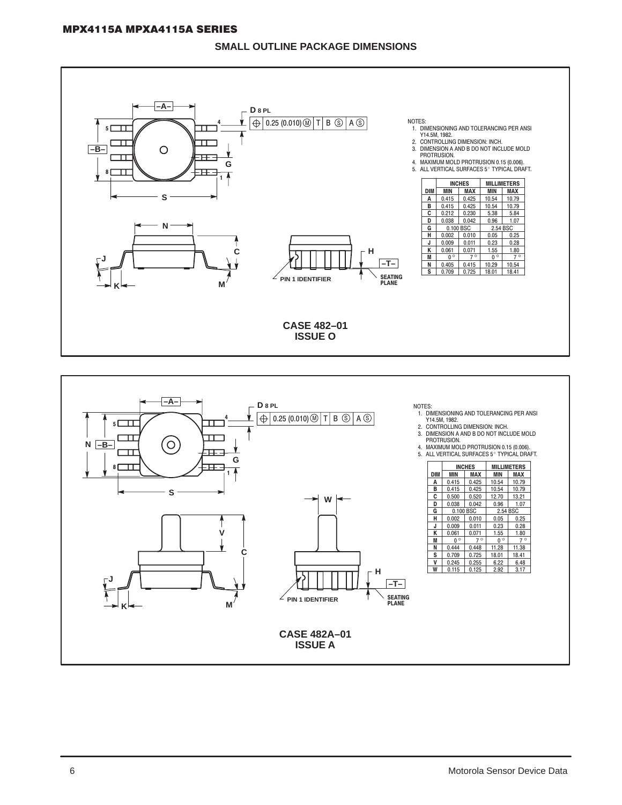# **SMALL OUTLINE PACKAGE DIMENSIONS**



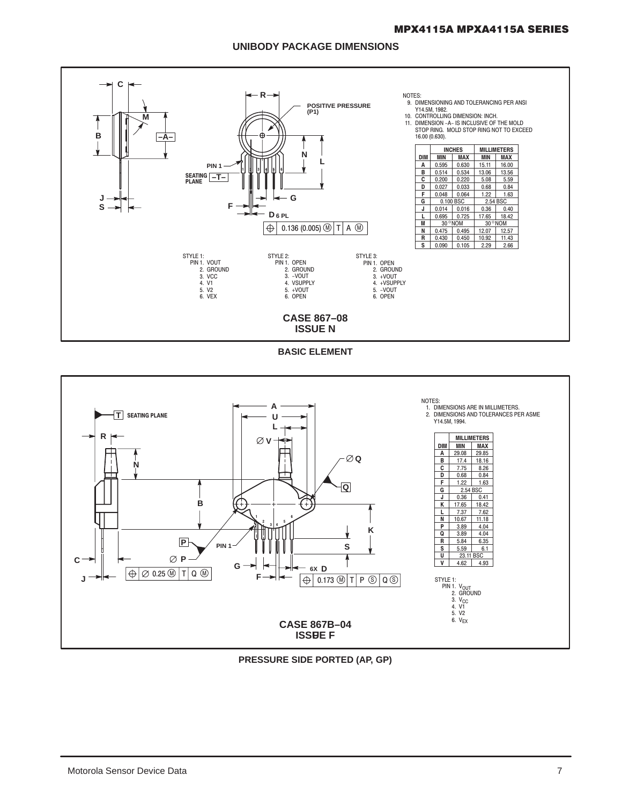# **UNIBODY PACKAGE DIMENSIONS**



**BASIC ELEMENT** 



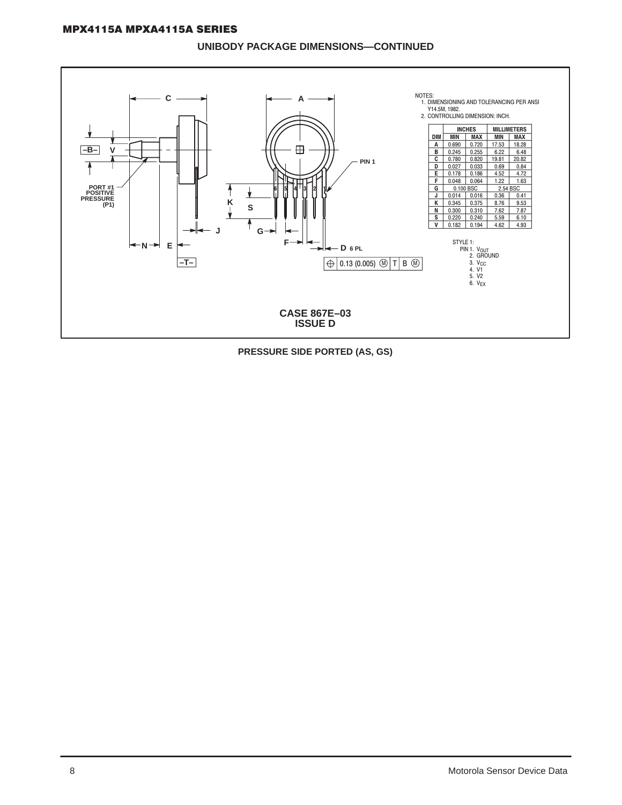#### UNIBODY PACKAGE DIMENSIONS-CONTINUED



PRESSURE SIDE PORTED (AS, GS)